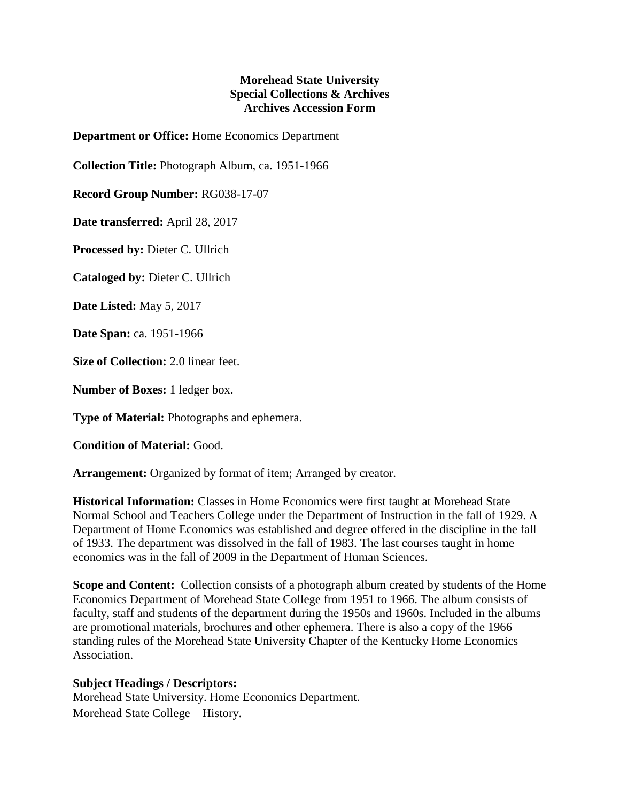## **Morehead State University Special Collections & Archives Archives Accession Form**

**Department or Office:** Home Economics Department

**Collection Title:** Photograph Album, ca. 1951-1966

**Record Group Number:** RG038-17-07

**Date transferred:** April 28, 2017

**Processed by:** Dieter C. Ullrich

**Cataloged by:** Dieter C. Ullrich

**Date Listed:** May 5, 2017

**Date Span:** ca. 1951-1966

**Size of Collection:** 2.0 linear feet.

**Number of Boxes:** 1 ledger box.

**Type of Material:** Photographs and ephemera.

**Condition of Material:** Good.

**Arrangement:** Organized by format of item; Arranged by creator.

**Historical Information:** Classes in Home Economics were first taught at Morehead State Normal School and Teachers College under the Department of Instruction in the fall of 1929. A Department of Home Economics was established and degree offered in the discipline in the fall of 1933. The department was dissolved in the fall of 1983. The last courses taught in home economics was in the fall of 2009 in the Department of Human Sciences.

**Scope and Content:** Collection consists of a photograph album created by students of the Home Economics Department of Morehead State College from 1951 to 1966. The album consists of faculty, staff and students of the department during the 1950s and 1960s. Included in the albums are promotional materials, brochures and other ephemera. There is also a copy of the 1966 standing rules of the Morehead State University Chapter of the Kentucky Home Economics Association.

## **Subject Headings / Descriptors:**

Morehead State University. Home Economics Department. Morehead State College – History.